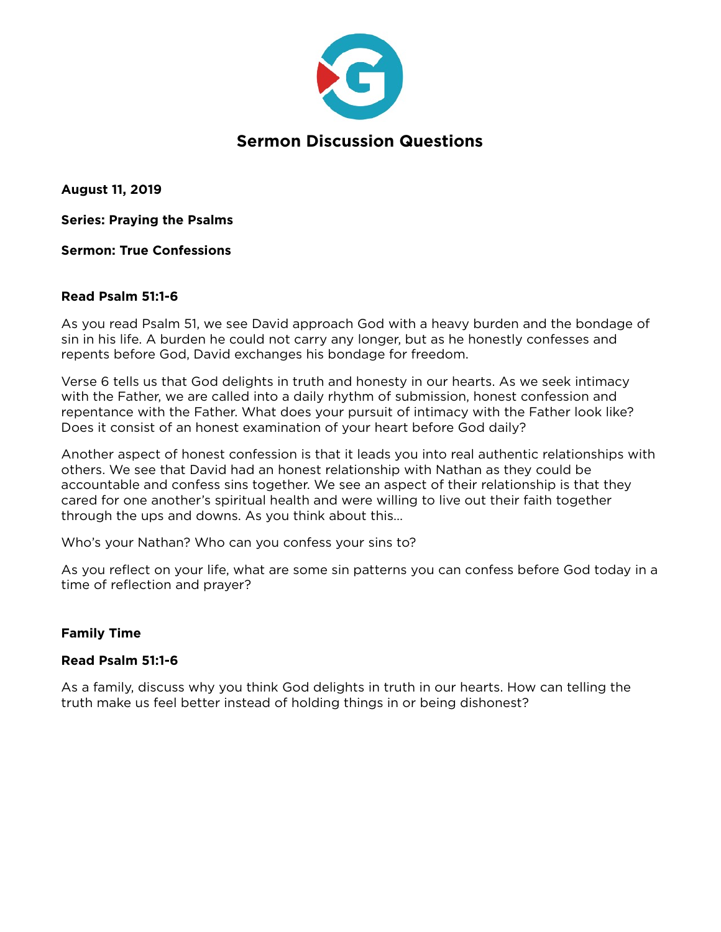

**August 11, 2019** 

**Series: Praying the Psalms** 

**Sermon: True Confessions** 

## **Read Psalm 51:1-6**

As you read Psalm 51, we see David approach God with a heavy burden and the bondage of sin in his life. A burden he could not carry any longer, but as he honestly confesses and repents before God, David exchanges his bondage for freedom.

Verse 6 tells us that God delights in truth and honesty in our hearts. As we seek intimacy with the Father, we are called into a daily rhythm of submission, honest confession and repentance with the Father. What does your pursuit of intimacy with the Father look like? Does it consist of an honest examination of your heart before God daily?

Another aspect of honest confession is that it leads you into real authentic relationships with others. We see that David had an honest relationship with Nathan as they could be accountable and confess sins together. We see an aspect of their relationship is that they cared for one another's spiritual health and were willing to live out their faith together through the ups and downs. As you think about this…

Who's your Nathan? Who can you confess your sins to?

As you reflect on your life, what are some sin patterns you can confess before God today in a time of reflection and prayer?

## **Family Time**

## **Read Psalm 51:1-6**

As a family, discuss why you think God delights in truth in our hearts. How can telling the truth make us feel better instead of holding things in or being dishonest?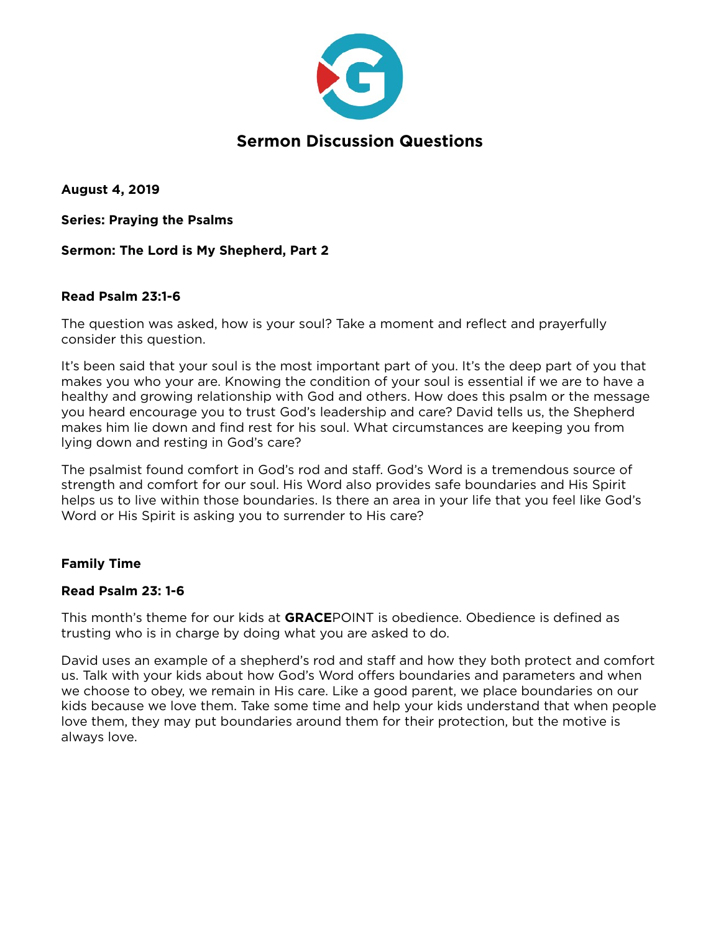

**August 4, 2019** 

**Series: Praying the Psalms** 

## **Sermon: The Lord is My Shepherd, Part 2**

## **Read Psalm 23:1-6**

The question was asked, how is your soul? Take a moment and reflect and prayerfully consider this question.

It's been said that your soul is the most important part of you. It's the deep part of you that makes you who your are. Knowing the condition of your soul is essential if we are to have a healthy and growing relationship with God and others. How does this psalm or the message you heard encourage you to trust God's leadership and care? David tells us, the Shepherd makes him lie down and find rest for his soul. What circumstances are keeping you from lying down and resting in God's care?

The psalmist found comfort in God's rod and staff. God's Word is a tremendous source of strength and comfort for our soul. His Word also provides safe boundaries and His Spirit helps us to live within those boundaries. Is there an area in your life that you feel like God's Word or His Spirit is asking you to surrender to His care?

## **Family Time**

## **Read Psalm 23: 1-6**

This month's theme for our kids at **GRACE**POINT is obedience. Obedience is defined as trusting who is in charge by doing what you are asked to do.

David uses an example of a shepherd's rod and staff and how they both protect and comfort us. Talk with your kids about how God's Word offers boundaries and parameters and when we choose to obey, we remain in His care. Like a good parent, we place boundaries on our kids because we love them. Take some time and help your kids understand that when people love them, they may put boundaries around them for their protection, but the motive is always love.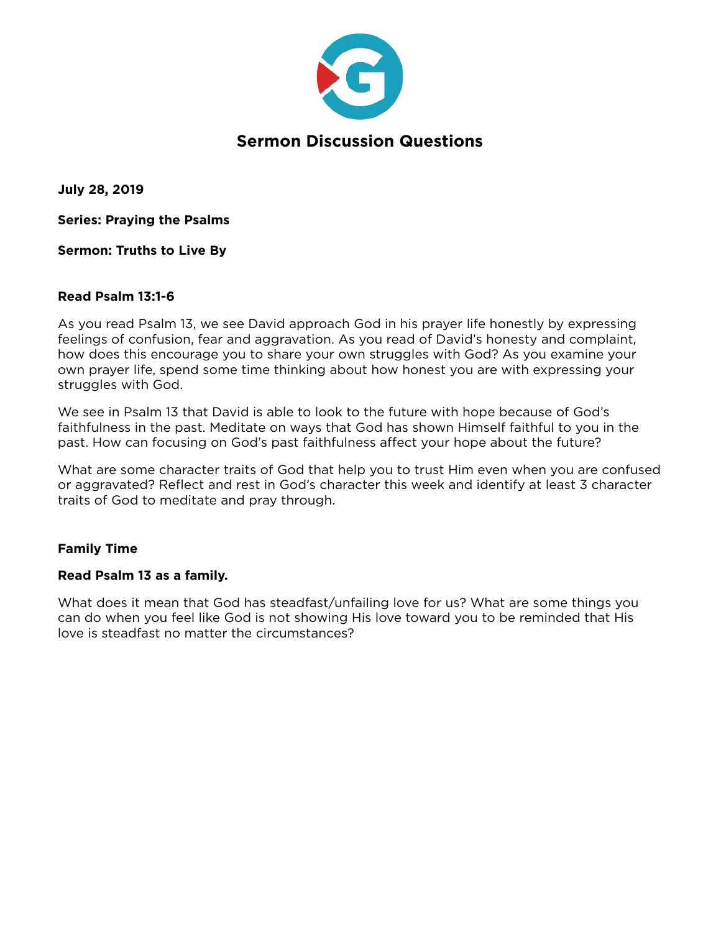

**July 28, 2019** 

**Series: Praying the Psalms** 

**Sermon: Truths to Live By** 

## **Read Psalm 13:1-6**

As you read Psalm 13, we see David approach God in his prayer life honestly by expressing feelings of confusion, fear and aggravation. As you read of David's honesty and complaint, how does this encourage you to share your own struggles with God? As you examine your own prayer life, spend some time thinking about how honest you are with expressing your struggles with God.

We see in Psalm 13 that David is able to look to the future with hope because of God's faithfulness in the past. Meditate on ways that God has shown Himself faithful to you in the past. How can focusing on God's past faithfulness affect your hope about the future?

What are some character traits of God that help you to trust Him even when you are confused or aggravated? Reflect and rest in God's character this week and identify at least 3 character traits of God to meditate and pray through.

## **Family Time**

## **Read Psalm 13 as a family.**

What does it mean that God has steadfast/unfailing love for us? What are some things you can do when you feel like God is not showing His love toward you to be reminded that His love is steadfast no matter the circumstances?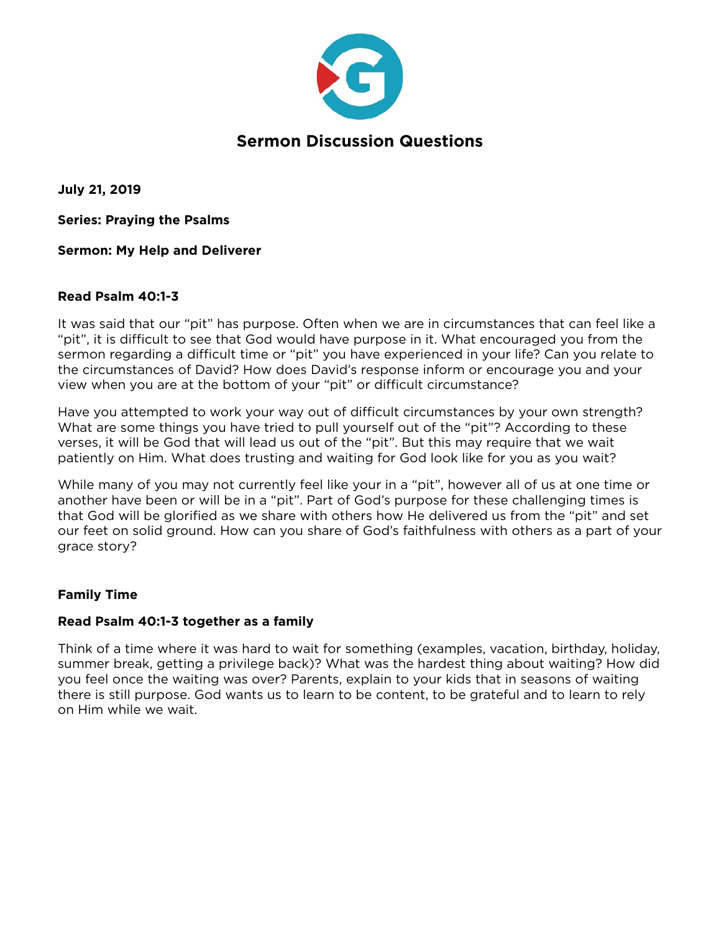

**July 21, 2019** 

**Series: Praying the Psalms** 

**Sermon: My Help and Deliverer** 

## **Read Psalm 40:1-3**

It was said that our "pit" has purpose. Often when we are in circumstances that can feel like a "pit", it is difficult to see that God would have purpose in it. What encouraged you from the sermon regarding a difficult time or "pit" you have experienced in your life? Can you relate to the circumstances of David? How does David's response inform or encourage you and your view when you are at the bottom of your "pit" or difficult circumstance?

Have you attempted to work your way out of difficult circumstances by your own strength? What are some things you have tried to pull yourself out of the "pit"? According to these verses, it will be God that will lead us out of the "pit". But this may require that we wait patiently on Him. What does trusting and waiting for God look like for you as you wait?

While many of you may not currently feel like your in a "pit", however all of us at one time or another have been or will be in a "pit". Part of God's purpose for these challenging times is that God will be glorified as we share with others how He delivered us from the "pit" and set our feet on solid ground. How can you share of God's faithfulness with others as a part of your grace story?

## **Family Time**

## **Read Psalm 40:1-3 together as a family**

Think of a time where it was hard to wait for something (examples, vacation, birthday, holiday, summer break, getting a privilege back)? What was the hardest thing about waiting? How did you feel once the waiting was over? Parents, explain to your kids that in seasons of waiting there is still purpose. God wants us to learn to be content, to be grateful and to learn to rely on Him while we wait.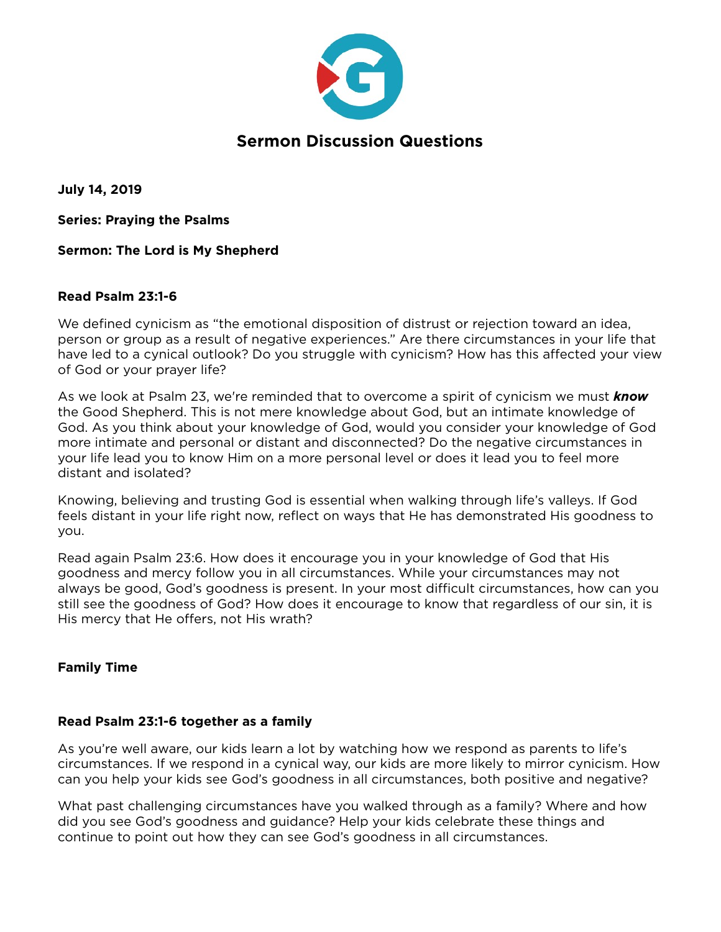

**July 14, 2019** 

**Series: Praying the Psalms** 

**Sermon: The Lord is My Shepherd** 

## **Read Psalm 23:1-6**

We defined cynicism as "the emotional disposition of distrust or rejection toward an idea, person or group as a result of negative experiences." Are there circumstances in your life that have led to a cynical outlook? Do you struggle with cynicism? How has this affected your view of God or your prayer life?

As we look at Psalm 23, we're reminded that to overcome a spirit of cynicism we must *know* the Good Shepherd. This is not mere knowledge about God, but an intimate knowledge of God. As you think about your knowledge of God, would you consider your knowledge of God more intimate and personal or distant and disconnected? Do the negative circumstances in your life lead you to know Him on a more personal level or does it lead you to feel more distant and isolated?

Knowing, believing and trusting God is essential when walking through life's valleys. If God feels distant in your life right now, reflect on ways that He has demonstrated His goodness to you.

Read again Psalm 23:6. How does it encourage you in your knowledge of God that His goodness and mercy follow you in all circumstances. While your circumstances may not always be good, God's goodness is present. In your most difficult circumstances, how can you still see the goodness of God? How does it encourage to know that regardless of our sin, it is His mercy that He offers, not His wrath?

## **Family Time**

## **Read Psalm 23:1-6 together as a family**

As you're well aware, our kids learn a lot by watching how we respond as parents to life's circumstances. If we respond in a cynical way, our kids are more likely to mirror cynicism. How can you help your kids see God's goodness in all circumstances, both positive and negative?

What past challenging circumstances have you walked through as a family? Where and how did you see God's goodness and guidance? Help your kids celebrate these things and continue to point out how they can see God's goodness in all circumstances.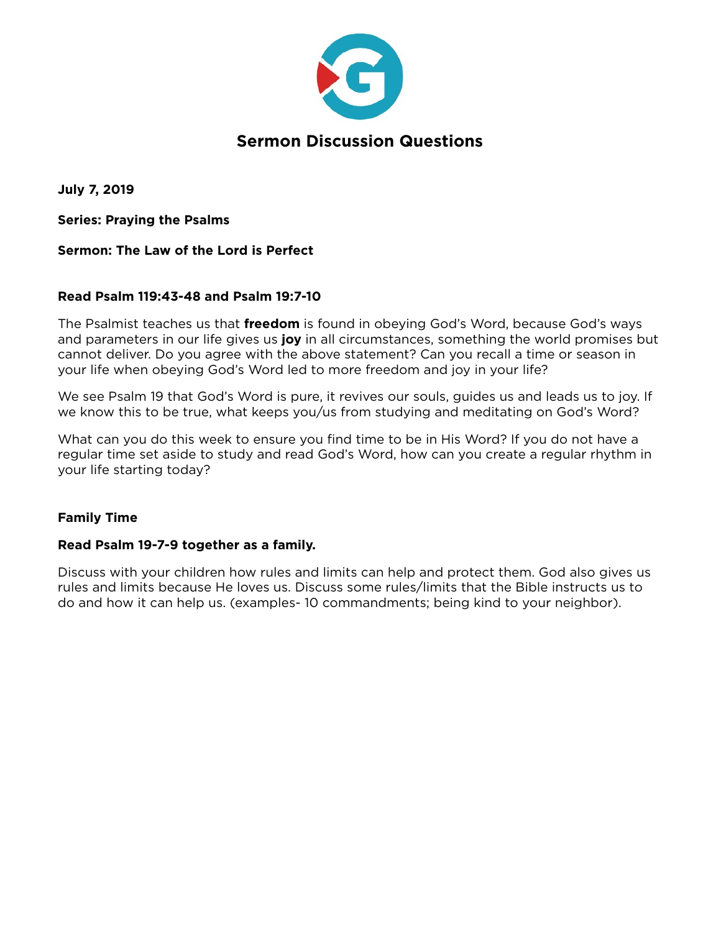

**July 7, 2019** 

**Series: Praying the Psalms** 

## **Sermon: The Law of the Lord is Perfect**

## **Read Psalm 119:43-48 and Psalm 19:7-10**

The Psalmist teaches us that **freedom** is found in obeying God's Word, because God's ways and parameters in our life gives us **joy** in all circumstances, something the world promises but cannot deliver. Do you agree with the above statement? Can you recall a time or season in your life when obeying God's Word led to more freedom and joy in your life?

We see Psalm 19 that God's Word is pure, it revives our souls, guides us and leads us to joy. If we know this to be true, what keeps you/us from studying and meditating on God's Word?

What can you do this week to ensure you find time to be in His Word? If you do not have a regular time set aside to study and read God's Word, how can you create a regular rhythm in your life starting today?

## **Family Time**

## **Read Psalm 19-7-9 together as a family.**

Discuss with your children how rules and limits can help and protect them. God also gives us rules and limits because He loves us. Discuss some rules/limits that the Bible instructs us to do and how it can help us. (examples- 10 commandments; being kind to your neighbor).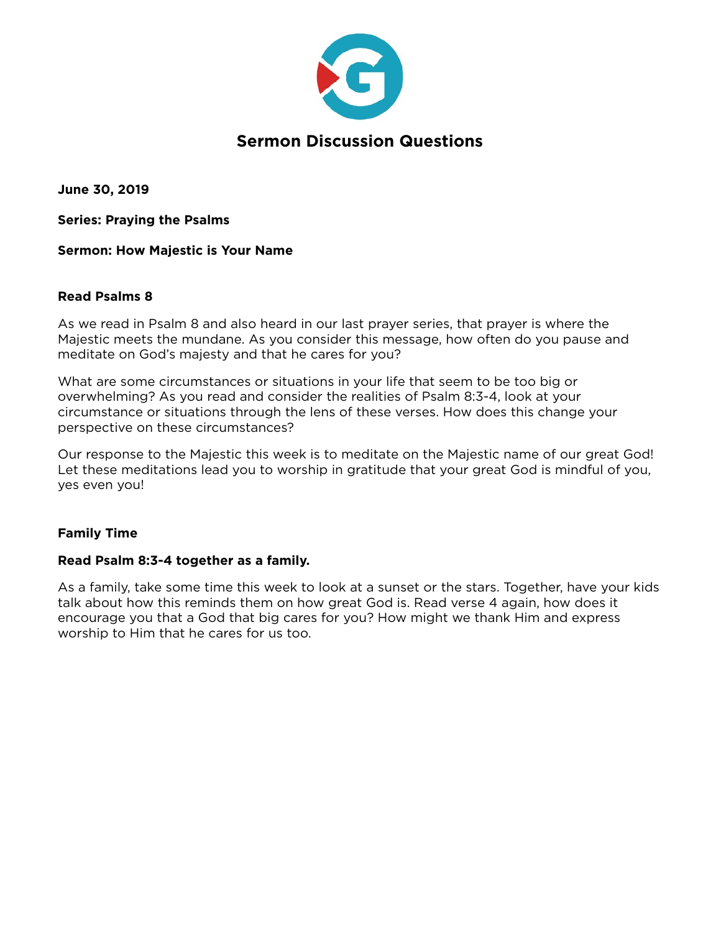

**June 30, 2019** 

**Series: Praying the Psalms** 

**Sermon: How Majestic is Your Name** 

## **Read Psalms 8**

As we read in Psalm 8 and also heard in our last prayer series, that prayer is where the Majestic meets the mundane. As you consider this message, how often do you pause and meditate on God's majesty and that he cares for you?

What are some circumstances or situations in your life that seem to be too big or overwhelming? As you read and consider the realities of Psalm 8:3-4, look at your circumstance or situations through the lens of these verses. How does this change your perspective on these circumstances?

Our response to the Majestic this week is to meditate on the Majestic name of our great God! Let these meditations lead you to worship in gratitude that your great God is mindful of you, yes even you!

## **Family Time**

## **Read Psalm 8:3-4 together as a family.**

As a family, take some time this week to look at a sunset or the stars. Together, have your kids talk about how this reminds them on how great God is. Read verse 4 again, how does it encourage you that a God that big cares for you? How might we thank Him and express worship to Him that he cares for us too.